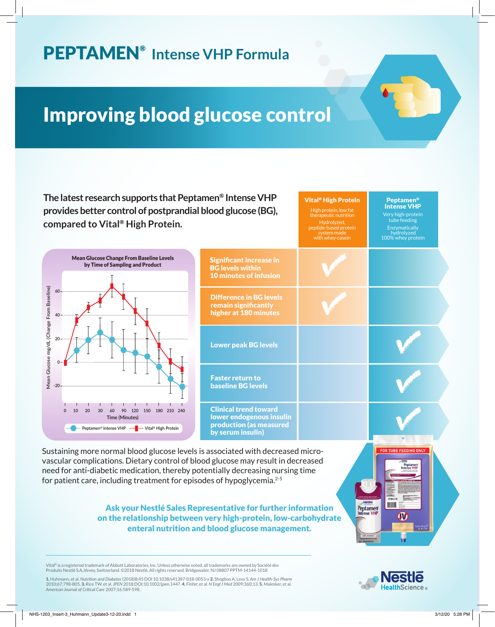## PEPTAMEN® **Intense VHP Formula**

# Improving blood glucose control



Vital® is a registered trademark of Abbott Laboratories, Inc. Unless otherwise noted, all trademarks are owned by Société des Produits Nestlé S.A.,Vevey, Switzerland. ©2018 Nestlé. All rights reserved. Bridgewater, NJ 08807 PPTM-14144-1018

1. Huhmann, et al. *Nutrition and Diabetes* (2018)8:45 DOI 10.1038/s41387-018-0053-x 2. Shogbon A, Levy S. *Am J Health-Sys Pharm* 2010;67:798-805. 3. Rice TW, et al. *JPEN* 2018:DOI:10.1002/jpen.1447. 4. Finfer, et al. *N Engl J Med* 2009;360;13. 5. Malesker, et al. *American Journal of Critical Care* 2007;16:589-598.